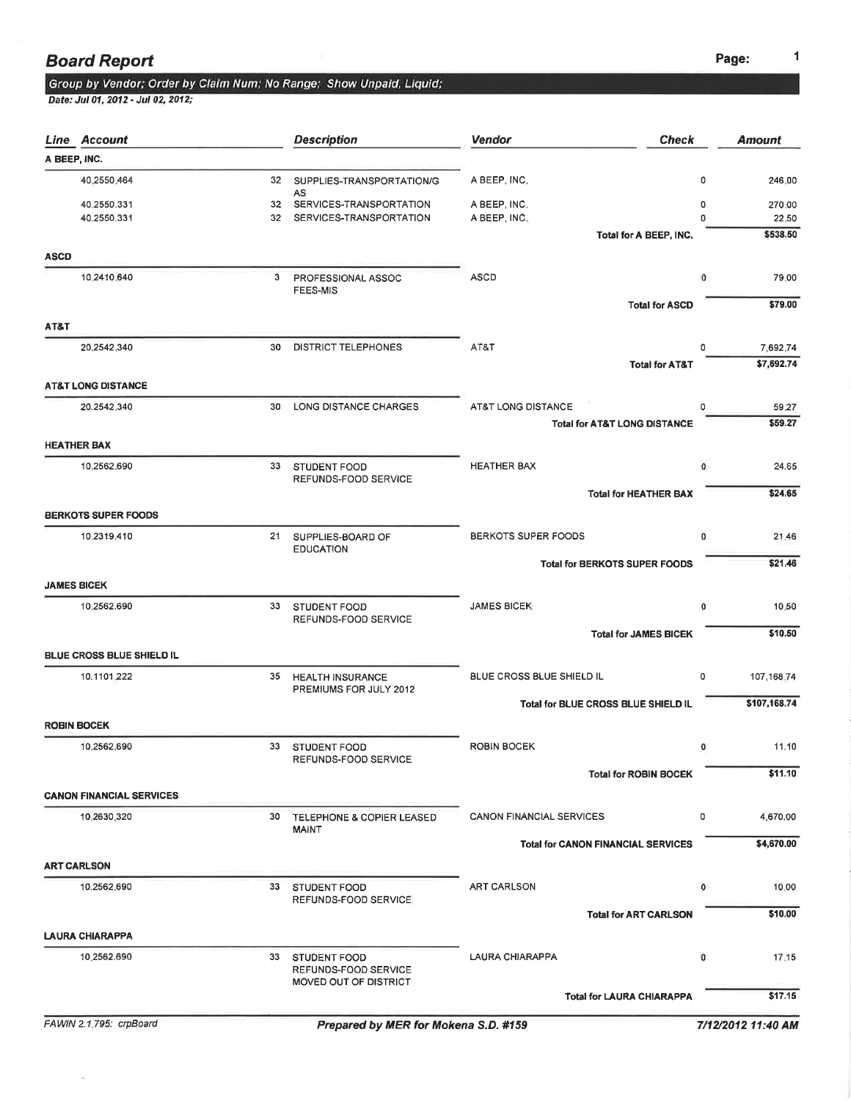### **Board Report** Page: 2012 12:30 Page: 2012 12:30 Page: 2012 12:30 Page: 2012 12:30 Page: 2013 12:30 Page: 2014 12:30 Page: 2014 12:30 Page: 2014 12:30 Page: 2014 12:30 Page: 2014 12:30 Page: 2014 12:30 Page: 2014 12:30 Pag

# Group by Vendor; Order by Claim Num; No Range; Show Unpaid, Liquid;<br>Date: Jul 01, 2012 - Jul 02, 2012;

|             | <b>Line Account</b>             |    | <b>Description</b>                                | <b>Vendor</b><br><b>Check</b>             |              | <b>Amount</b> |
|-------------|---------------------------------|----|---------------------------------------------------|-------------------------------------------|--------------|---------------|
|             | A BEEP, INC.                    |    |                                                   |                                           |              |               |
|             | 40.2550.464                     | 32 | SUPPLIES-TRANSPORTATION/G<br>AS                   | A BEEP, INC.                              | 0            | 246.00        |
|             | 40,2550.331                     | 32 | SERVICES-TRANSPORTATION                           | A BEEP, INC.                              | 0            | 270.00        |
|             | 40.2550.331                     | 32 | SERVICES-TRANSPORTATION                           | A BEEP, INC.                              | 0            | 22.50         |
| <b>ASCD</b> |                                 |    |                                                   | Total for A BEEP, INC.                    |              | \$538.50      |
|             | 10,2410,640                     |    |                                                   | ASCD                                      |              | 79.00         |
|             |                                 |    | 3 PROFESSIONAL ASSOC<br><b>FEES-MIS</b>           |                                           | $\circ$      |               |
|             |                                 |    |                                                   | <b>Total for ASCD</b>                     |              | \$79.00       |
| AT&T        |                                 |    |                                                   |                                           |              |               |
|             | 20.2542.340                     | 30 | <b>DISTRICT TELEPHONES</b>                        | AT&T                                      | 0            | 7,692.74      |
|             |                                 |    |                                                   | <b>Total for AT&amp;T</b>                 |              | \$7,692.74    |
|             | <b>AT&amp;T LONG DISTANCE</b>   |    |                                                   |                                           |              |               |
|             | 20.2542.340                     | 30 | LONG DISTANCE CHARGES                             | AT&T LONG DISTANCE                        | 0            | 59.27         |
|             |                                 |    |                                                   | <b>Total for AT&amp;T LONG DISTANCE</b>   |              | \$59.27       |
|             | <b>HEATHER BAX</b>              |    |                                                   |                                           |              |               |
|             | 10,2562.690                     | 33 | STUDENT FOOD                                      | <b>HEATHER BAX</b>                        | $\mathbf{0}$ | 24.65         |
|             |                                 |    | REFUNDS-FOOD SERVICE                              | <b>Total for HEATHER BAX</b>              |              | \$24.65       |
|             | <b>BERKOTS SUPER FOODS</b>      |    |                                                   |                                           |              |               |
|             |                                 |    |                                                   |                                           |              |               |
|             | 10.2319.410                     | 21 | SUPPLIES-BOARD OF<br><b>EDUCATION</b>             | BERKOTS SUPER FOODS                       | 0            | 21.46         |
|             |                                 |    |                                                   | <b>Total for BERKOTS SUPER FOODS</b>      |              | \$21.46       |
|             | <b>JAMES BICEK</b>              |    |                                                   |                                           |              |               |
|             | 10.2562.690                     | 33 | STUDENT FOOD                                      | <b>JAMES BICEK</b>                        | 0            | 10.50         |
|             |                                 |    | REFUNDS-FOOD SERVICE                              | <b>Total for JAMES BICEK</b>              |              | \$10.50       |
|             | BLUE CROSS BLUE SHIELD IL       |    |                                                   |                                           |              |               |
|             |                                 |    |                                                   |                                           |              |               |
|             | 10.1101.222                     | 35 | <b>HEALTH INSURANCE</b><br>PREMIUMS FOR JULY 2012 | BLUE CROSS BLUE SHIELD IL                 | 0            | 107, 168, 74  |
|             |                                 |    |                                                   | Total for BLUE CROSS BLUE SHIELD IL       |              | \$107,168.74  |
|             | <b>ROBIN BOCEK</b>              |    |                                                   |                                           |              |               |
|             | 10.2562.690                     | 33 | STUDENT FOOD                                      | <b>ROBIN BOCEK</b>                        | 0            | 11.10         |
|             |                                 |    | REFUNDS-FOOD SERVICE                              | <b>Total for ROBIN BOCEK</b>              |              | \$11.10       |
|             | <b>CANON FINANCIAL SERVICES</b> |    |                                                   |                                           |              |               |
|             |                                 |    |                                                   |                                           |              |               |
|             | 10,2630,320                     | 30 | TELEPHONE & COPIER LEASED<br><b>MAINT</b>         | <b>CANON FINANCIAL SERVICES</b>           | 0            | 4,670.00      |
|             |                                 |    |                                                   | <b>Total for CANON FINANCIAL SERVICES</b> |              | \$4,670.00    |
|             | <b>ART CARLSON</b>              |    |                                                   |                                           |              |               |
|             | 10.2562.690                     | 33 | STUDENT FOOD                                      | <b>ART CARLSON</b>                        | 0            | 10.00         |
|             |                                 |    | REFUNDS-FOOD SERVICE                              | <b>Total for ART CARLSON</b>              |              | \$10.00       |
|             |                                 |    |                                                   |                                           |              |               |
|             | <b>LAURA CHIARAPPA</b>          |    |                                                   |                                           |              |               |
|             | 10.2562.690                     | 33 | <b>STUDENT FOOD</b><br>REFUNDS-FOOD SERVICE       | LAURA CHIARAPPA                           | $\mathbf 0$  | 17.15         |
|             |                                 |    | MOVED OUT OF DISTRICT                             |                                           |              |               |
|             |                                 |    |                                                   | <b>Total for LAURA CHIARAPPA</b>          |              | \$17.15       |

 $\hat{\theta}$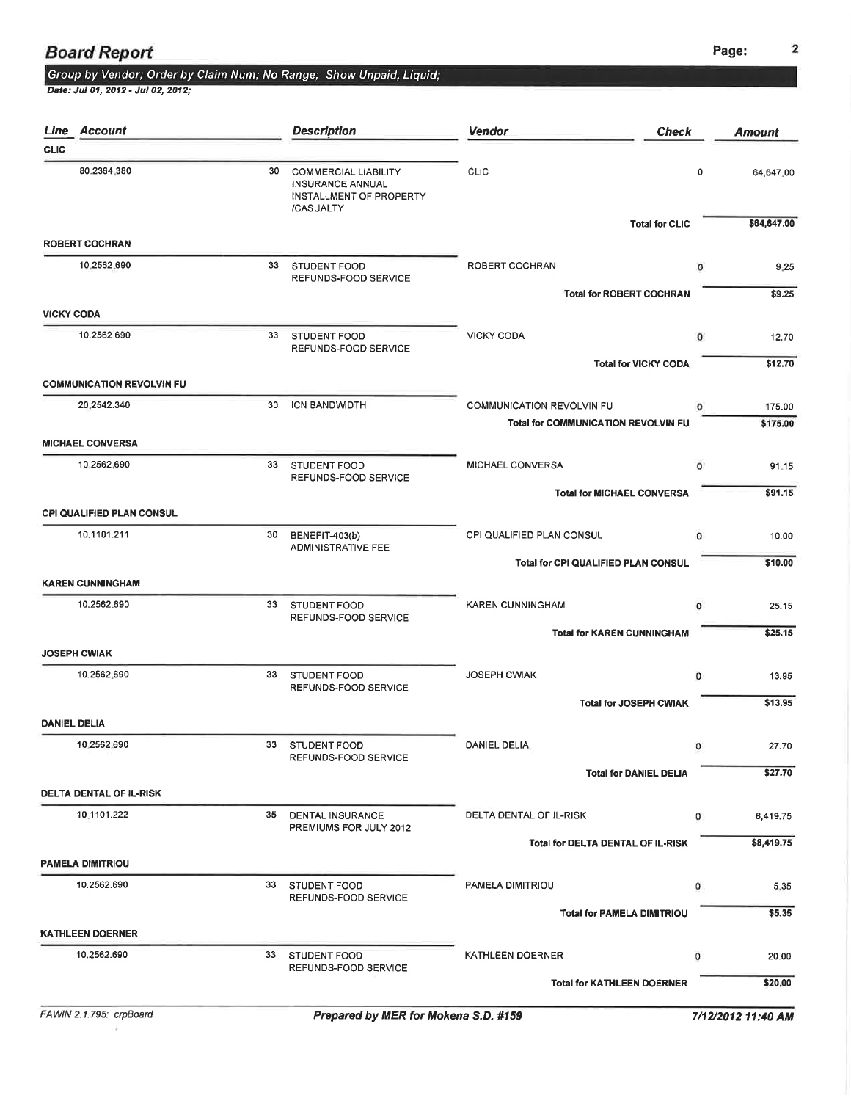### **Board Report**

# Group by Vendor; Order by Claim Num; No Range; Show Unpaid, Liquid;<br>Date: Jul 01, 2012 - Jul 02, 2012;

|                   | Line Account                                    |    | <b>Description</b>                                                                      | <b>Vendor</b>                                     | <b>Check</b>                  | Amount         |
|-------------------|-------------------------------------------------|----|-----------------------------------------------------------------------------------------|---------------------------------------------------|-------------------------------|----------------|
| <b>CLIC</b>       |                                                 |    |                                                                                         |                                                   |                               |                |
|                   | 80.2364.380                                     | 30 | <b>COMMERCIAL LIABILITY</b><br>INSURANCE ANNUAL<br>INSTALLMENT OF PROPERTY<br>/CASUALTY | <b>CLIC</b>                                       | 0                             | 64,647.00      |
|                   |                                                 |    |                                                                                         |                                                   | <b>Total for CLIC</b>         | \$64,647.00    |
|                   | <b>ROBERT COCHRAN</b>                           |    |                                                                                         |                                                   |                               |                |
|                   | 10,2562,690                                     | 33 | STUDENT FOOD<br>REFUNDS-FOOD SERVICE                                                    | ROBERT COCHRAN<br><b>Total for ROBERT COCHRAN</b> | 0                             | 9.25<br>\$9.25 |
| <b>VICKY CODA</b> |                                                 |    |                                                                                         |                                                   |                               |                |
|                   | 10.2562.690                                     | 33 | STUDENT FOOD<br>REFUNDS-FOOD SERVICE                                                    | <b>VICKY CODA</b>                                 | $\mathbf{0}$                  | 12.70          |
|                   |                                                 |    |                                                                                         |                                                   | <b>Total for VICKY CODA</b>   | \$12.70        |
|                   | <b>COMMUNICATION REVOLVIN FU</b>                |    |                                                                                         |                                                   |                               |                |
|                   | 20.2542.340                                     | 30 | ICN BANDWIDTH                                                                           | <b>COMMUNICATION REVOLVIN FU</b>                  | o                             | 175.00         |
|                   | <b>MICHAEL CONVERSA</b>                         |    |                                                                                         | <b>Total for COMMUNICATION REVOLVIN FU</b>        |                               | \$175.00       |
|                   | 10.2562.690                                     | 33 | STUDENT FOOD                                                                            | MICHAEL CONVERSA                                  | $\Omega$                      | 91.15          |
|                   |                                                 |    | REFUNDS-FOOD SERVICE                                                                    |                                                   |                               |                |
|                   |                                                 |    |                                                                                         | <b>Total for MICHAEL CONVERSA</b>                 |                               | \$91.15        |
|                   | <b>CPI QUALIFIED PLAN CONSUL</b><br>10.1101.211 | 30 | BENEFIT-403(b)                                                                          | CPI QUALIFIED PLAN CONSUL                         | $\mathbf{0}$                  |                |
|                   |                                                 |    | <b>ADMINISTRATIVE FEE</b>                                                               |                                                   |                               | 10.00          |
|                   |                                                 |    |                                                                                         | Total for CPI QUALIFIED PLAN CONSUL               |                               | \$10.00        |
|                   | <b>KAREN CUNNINGHAM</b><br>10.2562.690          | 33 | STUDENT FOOD                                                                            | <b>KAREN CUNNINGHAM</b>                           | $\circ$                       |                |
|                   |                                                 |    | REFUNDS-FOOD SERVICE                                                                    |                                                   |                               | 25.15          |
|                   |                                                 |    |                                                                                         | <b>Total for KAREN CUNNINGHAM</b>                 |                               | \$25.15        |
|                   | <b>JOSEPH CWIAK</b>                             |    |                                                                                         |                                                   |                               |                |
|                   | 10.2562.690                                     | 33 | STUDENT FOOD<br>REFUNDS-FOOD SERVICE                                                    | <b>JOSEPH CWIAK</b>                               | $\mathbf{0}$                  | 13.95          |
|                   |                                                 |    |                                                                                         |                                                   | <b>Total for JOSEPH CWIAK</b> | \$13.95        |
|                   | <b>DANIEL DELIA</b>                             |    |                                                                                         |                                                   |                               |                |
|                   | 10.2562.690                                     |    | 33 STUDENT FOOD<br>REFUNDS-FOOD SERVICE                                                 | DANIEL DELIA                                      |                               | 27.70          |
|                   |                                                 |    |                                                                                         |                                                   | <b>Total for DANIEL DELIA</b> | \$27.70        |
|                   | <b>DELTA DENTAL OF IL-RISK</b>                  |    |                                                                                         |                                                   |                               |                |
|                   | 10.1101.222                                     | 35 | <b>DENTAL INSURANCE</b><br>PREMIUMS FOR JULY 2012                                       | DELTA DENTAL OF IL-RISK                           | 0                             | 8,419.75       |
|                   |                                                 |    |                                                                                         | Total for DELTA DENTAL OF IL-RISK                 |                               | \$8,419.75     |
|                   | <b>PAMELA DIMITRIOU</b>                         |    |                                                                                         |                                                   |                               |                |
|                   | 10.2562.690                                     | 33 | STUDENT FOOD<br>REFUNDS-FOOD SERVICE                                                    | PAMELA DIMITRIOU                                  | 0                             | 5.35           |
|                   |                                                 |    |                                                                                         | <b>Total for PAMELA DIMITRIOU</b>                 |                               | \$5.35         |
|                   | <b>KATHLEEN DOERNER</b>                         |    |                                                                                         |                                                   |                               |                |
|                   | 10,2562.690                                     | 33 | <b>STUDENT FOOD</b><br>REFUNDS-FOOD SERVICE                                             | KATHLEEN DOERNER                                  | o                             | 20.00          |
|                   |                                                 |    |                                                                                         | <b>Total for KATHLEEN DOERNER</b>                 |                               | \$20.00        |
|                   |                                                 |    |                                                                                         |                                                   |                               |                |

 $\lambda$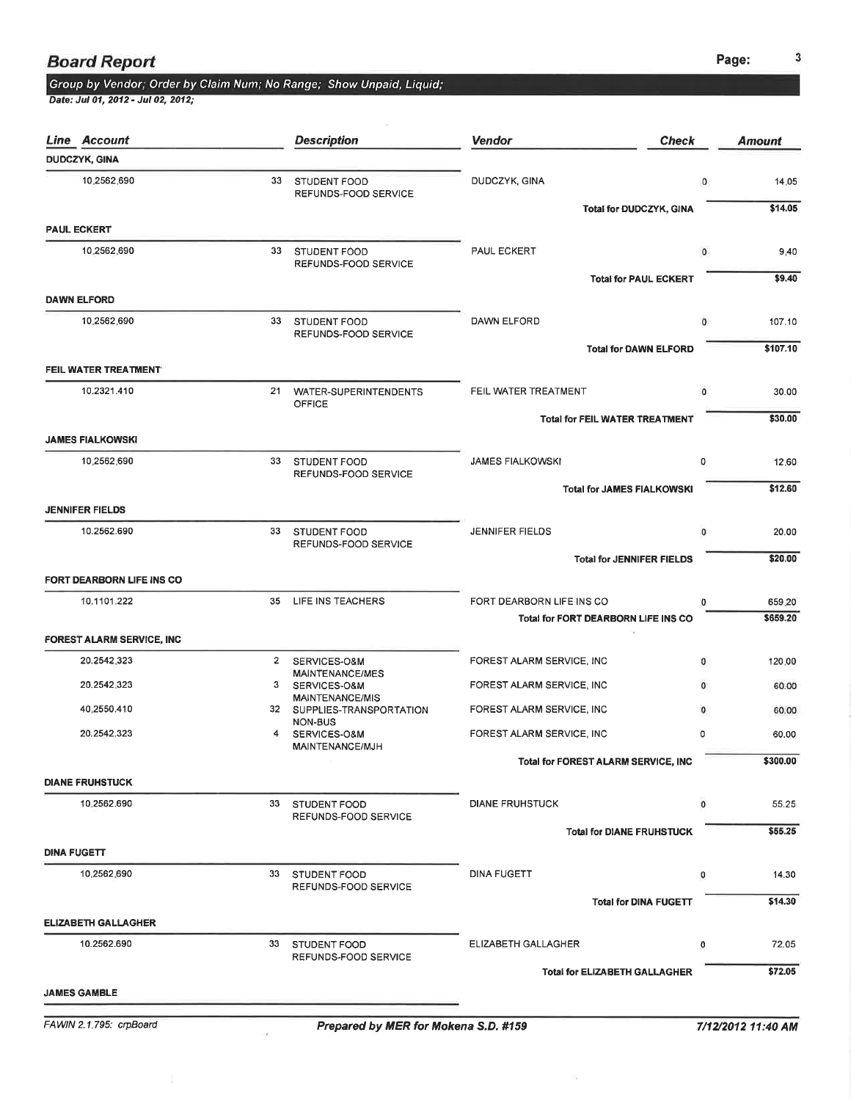# Group by Vendor; Order by Claim Num; No Range; Show Unpaid, Liquid;<br>Date: Jul 01, 2012 - Jul 02, 2012;

| Line Account                     |              | <b>Description</b>                          | <b>Vendor</b><br><b>Check</b>               |              | <b>Amount</b>  |
|----------------------------------|--------------|---------------------------------------------|---------------------------------------------|--------------|----------------|
| <b>DUDCZYK, GINA</b>             |              |                                             |                                             |              |                |
| 10,2562,690                      | 33           | STUDENT FOOD<br>REFUNDS-FOOD SERVICE        | DUDCZYK, GINA                               | 0            | 14.05          |
| <b>PAUL ECKERT</b>               |              |                                             | Total for DUDCZYK, GINA                     |              | \$14.05        |
| 10.2562.690                      |              |                                             |                                             |              |                |
|                                  |              | 33 STUDENT FOOD<br>REFUNDS-FOOD SERVICE     | PAUL ECKERT<br><b>Total for PAUL ECKERT</b> | 0            | 9.40<br>\$9.40 |
| <b>DAWN ELFORD</b>               |              |                                             |                                             |              |                |
| 10.2562.690                      | 33           | <b>STUDENT FOOD</b>                         | DAWN ELFORD                                 | 0            | 107.10         |
|                                  |              | REFUNDS-FOOD SERVICE                        | <b>Total for DAWN ELFORD</b>                |              | \$107.10       |
| FEIL WATER TREATMENT             |              |                                             |                                             |              |                |
| 10.2321.410                      |              | 21 WATER-SUPERINTENDENTS<br><b>OFFICE</b>   | FEIL WATER TREATMENT                        | $\circ$      | 30.00          |
|                                  |              |                                             | <b>Total for FEIL WATER TREATMENT</b>       |              | \$30.00        |
| <b>JAMES FIALKOWSKI</b>          |              |                                             |                                             |              |                |
| 10 2562 690                      | 33           | <b>STUDENT FOOD</b><br>REFUNDS-FOOD SERVICE | <b>JAMES FIALKOWSKI</b>                     | 0            | 12,60          |
|                                  |              |                                             | <b>Total for JAMES FIALKOWSKI</b>           |              | \$12.60        |
| <b>JENNIFER FIELDS</b>           |              |                                             |                                             |              |                |
| 10.2562.690                      | 33           | STUDENT FOOD<br>REFUNDS-FOOD SERVICE        | <b>JENNIFER FIELDS</b>                      | 0            | 20.00          |
| FORT DEARBORN LIFE INS CO        |              |                                             | <b>Total for JENNIFER FIELDS</b>            |              | \$20.00        |
| 10.1101.222                      |              | 35 LIFE INS TEACHERS                        | FORT DEARBORN LIFE INS CO                   | 0            | 659.20         |
|                                  |              |                                             | Total for FORT DEARBORN LIFE INS CO         |              | \$659.20       |
| <b>FOREST ALARM SERVICE, INC</b> |              |                                             |                                             |              |                |
| 20.2542.323                      | $\mathbf{2}$ | SERVICES-O&M<br>MAINTENANCE/MES             | FOREST ALARM SERVICE, INC                   | о            | 120.00         |
| 20.2542.323                      | 3            | SERVICES-O&M<br><b>MAINTENANCE/MIS</b>      | FOREST ALARM SERVICE, INC                   | $\mathbf{0}$ | 60.00          |
| 40.2550.410                      |              | 32 SUPPLIES-TRANSPORTATION<br>NON-BUS       | FOREST ALARM SERVICE, INC                   | 0            | 60.00          |
| 20.2542.323                      | 4            | SERVICES-O&M<br>MAINTENANCE/MJH             | FOREST ALARM SERVICE, INC                   | 0            | 60.00          |
|                                  |              |                                             | Total for FOREST ALARM SERVICE, INC         |              | \$300.00       |
| <b>DIANE FRUHSTUCK</b>           |              |                                             |                                             |              |                |
| 10,2562.690                      | 33           | STUDENT FOOD<br>REFUNDS-FOOD SERVICE        | <b>DIANE FRUHSTUCK</b>                      | 0            | 55.25          |
|                                  |              |                                             | <b>Total for DIANE FRUHSTUCK</b>            |              | \$55.25        |
| <b>DINA FUGETT</b>               |              |                                             |                                             |              |                |
| 10.2562.690                      | 33           | STUDENT FOOD<br>REFUNDS-FOOD SERVICE        | <b>DINA FUGETT</b>                          | o            | 14.30          |
|                                  |              |                                             | <b>Total for DINA FUGETT</b>                |              | \$14.30        |
| <b>ELIZABETH GALLAGHER</b>       |              |                                             |                                             |              |                |
| 10.2562.690                      | 33           | STUDENT FOOD<br>REFUNDS-FOOD SERVICE        | ELIZABETH GALLAGHER                         | o            | 72.05          |
|                                  |              |                                             | <b>Total for ELIZABETH GALLAGHER</b>        |              | \$72.05        |
| <b>JAMES GAMBLE</b>              |              |                                             |                                             |              |                |

FAWIN 2.1.795: crpBoard

ż,

ò.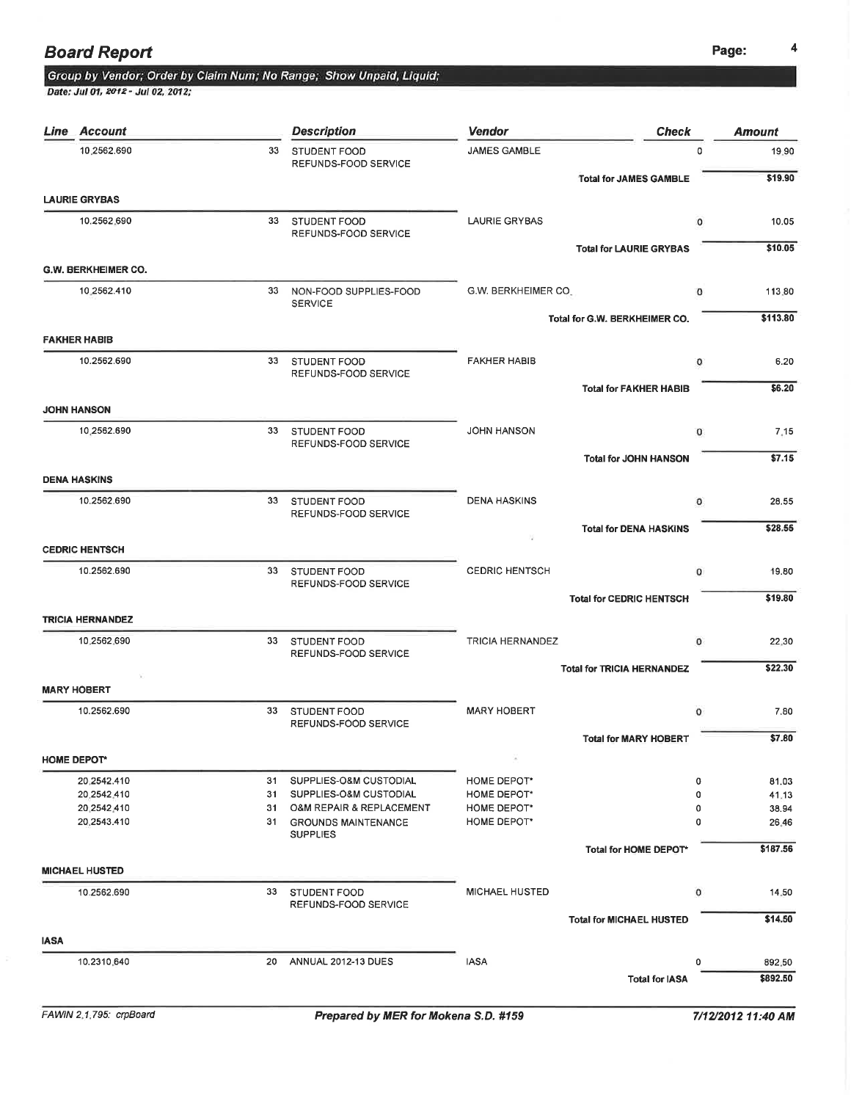### Board Report Page: <sup>4</sup>

### Group by Vendor; Order by Claim Num; No Range; Show Unpaid, Liquid;

Date: Jul 01, 2012 - Jul 02, 2012;

| Line        | Account                    |                 | <b>Description</b>                            | <b>Vendor</b>           | <b>Check</b>                      | <b>Amount</b> |
|-------------|----------------------------|-----------------|-----------------------------------------------|-------------------------|-----------------------------------|---------------|
|             | 10.2562.690                | 33              | STUDENT FOOD<br>REFUNDS-FOOD SERVICE          | JAMES GAMBLE            | $\Omega$                          | 19.90         |
|             |                            |                 |                                               |                         | <b>Total for JAMES GAMBLE</b>     | \$19.90       |
|             | <b>LAURIE GRYBAS</b>       |                 |                                               |                         |                                   |               |
|             | 10.2562.690                |                 | 33 STUDENT FOOD<br>REFUNDS-FOOD SERVICE       | <b>LAURIE GRYBAS</b>    | 0                                 | 10.05         |
|             |                            |                 |                                               |                         | <b>Total for LAURIE GRYBAS</b>    | \$10.05       |
|             | <b>G.W. BERKHEIMER CO.</b> |                 |                                               |                         |                                   |               |
|             | 10,2562.410                | 33              | NON-FOOD SUPPLIES-FOOD<br><b>SERVICE</b>      | G.W. BERKHEIMER CO.     | $\Omega$                          | 113.80        |
|             |                            |                 |                                               |                         | Total for G.W. BERKHEIMER CO.     | \$113.80      |
|             | <b>FAKHER HABIB</b>        |                 |                                               |                         |                                   |               |
|             | 10.2562.690                | 33              | STUDENT FOOD<br>REFUNDS-FOOD SERVICE          | <b>FAKHER HABIB</b>     | o                                 | 6.20          |
|             |                            |                 |                                               |                         | <b>Total for FAKHER HABIB</b>     | \$6.20        |
|             | <b>JOHN HANSON</b>         |                 |                                               |                         |                                   |               |
|             | 10,2562.690                |                 | 33 STUDENT FOOD                               | <b>JOHN HANSON</b>      | 0                                 | 7.15          |
|             |                            |                 | REFUNDS-FOOD SERVICE                          |                         | <b>Total for JOHN HANSON</b>      | \$7.15        |
|             | <b>DENA HASKINS</b>        |                 |                                               |                         |                                   |               |
|             | 10.2562.690                | 33 <sup>2</sup> | <b>STUDENT FOOD</b>                           | <b>DENA HASKINS</b>     | 0                                 | 28.55         |
|             |                            |                 | REFUNDS-FOOD SERVICE                          |                         | <b>Total for DENA HASKINS</b>     | \$28.55       |
|             | <b>CEDRIC HENTSCH</b>      |                 |                                               |                         |                                   |               |
|             | 10.2562.690                | 33              | STUDENT FOOD                                  | <b>CEDRIC HENTSCH</b>   | $\circ$                           | 19.80         |
|             |                            |                 | REFUNDS-FOOD SERVICE                          |                         |                                   |               |
|             | <b>TRICIA HERNANDEZ</b>    |                 |                                               |                         | <b>Total for CEDRIC HENTSCH</b>   | \$19.80       |
|             | 10.2562.690                |                 |                                               |                         |                                   |               |
|             |                            |                 | 33 STUDENT FOOD<br>REFUNDS-FOOD SERVICE       | <b>TRICIA HERNANDEZ</b> | $\mathbf 0$                       | 22.30         |
|             |                            |                 |                                               |                         | <b>Total for TRICIA HERNANDEZ</b> | \$22.30       |
|             | <b>MARY HOBERT</b>         |                 |                                               |                         |                                   |               |
|             | 10.2562.690                | 33              | STUDENT FOOD<br>REFUNDS-FOOD SERVICE          | <b>MARY HOBERT</b>      | $\circ$                           | 7.80          |
|             |                            |                 |                                               |                         | <b>Total for MARY HOBERT</b>      | \$7.80        |
|             | <b>HOME DEPOT*</b>         |                 |                                               |                         |                                   |               |
|             | 20.2542.410                | 31              | SUPPLIES-O&M CUSTODIAL                        | HOME DEPOT*             | 0                                 | 81.03         |
|             | 20.2542.410                | 31              | SUPPLIES-O&M CUSTODIAL                        | HOME DEPOT*             | 0                                 | 41.13         |
|             | 20 2542 410                | 31              | O&M REPAIR & REPLACEMENT                      | HOME DEPOT*             | 0                                 | 38.94         |
|             | 20,2543.410                | 31              | <b>GROUNDS MAINTENANCE</b><br><b>SUPPLIES</b> | <b>HOME DEPOT*</b>      | 0                                 | 26.46         |
|             |                            |                 |                                               |                         | Total for HOME DEPOT*             | \$187.56      |
|             | <b>MICHAEL HUSTED</b>      |                 |                                               |                         |                                   |               |
|             | 10.2562.690                | 33              | STUDENT FOOD                                  | <b>MICHAEL HUSTED</b>   | $\circ$                           | 14.50         |
|             |                            |                 | REFUNDS-FOOD SERVICE                          |                         | <b>Total for MICHAEL HUSTED</b>   | \$14.50       |
| <b>IASA</b> |                            |                 |                                               |                         |                                   |               |
|             | 10.2310.640                | 20              | ANNUAL 2012-13 DUES                           | <b>IASA</b>             | 0                                 | 892.50        |
|             |                            |                 |                                               |                         | <b>Total for IASA</b>             | \$892.50      |
|             |                            |                 |                                               |                         |                                   |               |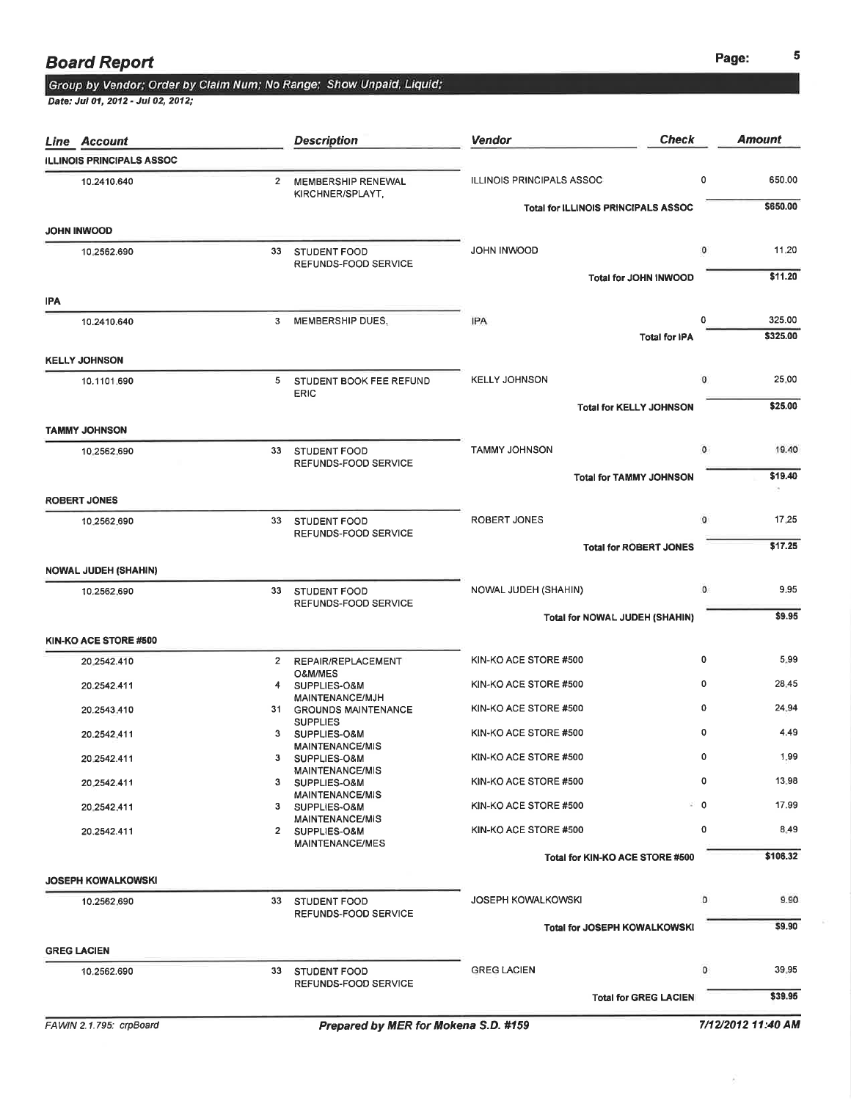# Group by Vendor; Order by Claim Num; No Range; Show Unpaid, Liquid;<br>Date: Jul 01, 2012 - Jul 02, 2012;

|     | <b>Line Account</b>              |              | <b>Description</b>                          | <b>Check</b><br><b>Vendor</b>              |             | <b>Amount</b>    |
|-----|----------------------------------|--------------|---------------------------------------------|--------------------------------------------|-------------|------------------|
|     | <b>ILLINOIS PRINCIPALS ASSOC</b> |              |                                             |                                            |             |                  |
|     | 10.2410.640                      | $\mathbf{2}$ | MEMBERSHIP RENEWAL<br>KIRCHNER/SPLAYT,      | <b>ILLINOIS PRINCIPALS ASSOC</b>           | 0           | 650.00           |
|     |                                  |              |                                             | <b>Total for ILLINOIS PRINCIPALS ASSOC</b> |             | \$650.00         |
|     | <b>JOHN INWOOD</b>               |              |                                             |                                            |             |                  |
|     | 10.2562.690                      | 33           | <b>STUDENT FOOD</b><br>REFUNDS-FOOD SERVICE | JOHN INWOOD<br>Total for JOHN INWOOD       | 0           | 11.20<br>\$11.20 |
| IPA |                                  |              |                                             |                                            |             |                  |
|     | 10.2410.640                      |              | 3 MEMBERSHIP DUES,                          | <b>IPA</b>                                 | 0           | 325.00           |
|     |                                  |              |                                             | <b>Total for IPA</b>                       |             | \$325.00         |
|     | <b>KELLY JOHNSON</b>             |              |                                             |                                            |             |                  |
|     | 10.1101.690                      | 5            | STUDENT BOOK FEE REFUND<br><b>ERIC</b>      | <b>KELLY JOHNSON</b>                       | 0           | 25.00            |
|     |                                  |              |                                             | <b>Total for KELLY JOHNSON</b>             |             | \$25.00          |
|     | <b>TAMMY JOHNSON</b>             |              |                                             |                                            |             |                  |
|     | 10.2562.690                      | 33           | <b>STUDENT FOOD</b><br>REFUNDS-FOOD SERVICE | <b>TAMMY JOHNSON</b>                       | 0           | 19.40            |
|     |                                  |              |                                             | <b>Total for TAMMY JOHNSON</b>             |             | \$19.40          |
|     | <b>ROBERT JONES</b>              |              |                                             |                                            |             |                  |
|     | 10.2562.690                      |              | 33 STUDENT FOOD<br>REFUNDS-FOOD SERVICE     | ROBERT JONES                               | $\mathbf 0$ | 17.25            |
|     |                                  |              |                                             | <b>Total for ROBERT JONES</b>              |             | \$17.25          |
|     | <b>NOWAL JUDEH (SHAHIN)</b>      |              |                                             |                                            |             |                  |
|     | 10.2562.690                      |              | 33 STUDENT FOOD<br>REFUNDS-FOOD SERVICE     | NOWAL JUDEH (SHAHIN)                       | 0           | 9.95             |
|     |                                  |              |                                             | Total for NOWAL JUDEH (SHAHIN)             |             | \$9.95           |
|     | KIN-KO ACE STORE #500            |              |                                             |                                            |             |                  |
|     | 20.2542.410                      | $\mathbf{2}$ | REPAIR/REPLACEMENT<br>O&M/MES               | KIN-KO ACE STORE #500                      | 0           | 5.99             |
|     | 20.2542.411                      |              | 4 SUPPLIES-O&M<br>MAINTENANCE/MJH           | KIN-KO ACE STORE #500                      | 0           | 28.45            |
|     | 20.2543.410                      |              | 31 GROUNDS MAINTENANCE                      | KIN-KO ACE STORE #500                      | 0           | 24.94            |
|     | 20.2542.411                      | 3            | <b>SUPPLIES</b><br>SUPPLIES-O&M             | KIN-KO ACE STORE #500                      | 0           | 4.49             |
|     | 20.2542.411                      | з            | <b>MAINTENANCE/MIS</b><br>SUPPLIES-O&M      | KIN-KO ACE STORE #500                      | 0           | 1,99             |
|     | 20.2542.411                      |              | <b>MAINTENANCE/MIS</b><br>3 SUPPLIES-O&M    | KIN-KO ACE STORE #500                      | 0           | 13.98            |
|     | 20 2542 411                      |              | <b>MAINTENANCE/MIS</b><br>3 SUPPLIES-O&M    | KIN-KO ACE STORE #500                      | ະ 0         | 17.99            |
|     | 20.2542.411                      |              | <b>MAINTENANCE/MIS</b><br>2 SUPPLIES-O&M    | KIN-KO ACE STORE #500                      | 0           | 8.49             |
|     |                                  |              | <b>MAINTENANCE/MES</b>                      | Total for KIN-KO ACE STORE #500            |             | \$106.32         |
|     | <b>JOSEPH KOWALKOWSKI</b>        |              |                                             |                                            |             |                  |
|     | 10.2562.690                      |              | 33 STUDENT FOOD                             | <b>JOSEPH KOWALKOWSKI</b>                  | o           | 9.90             |
|     |                                  |              | REFUNDS-FOOD SERVICE                        | Total for JOSEPH KOWALKOWSKI               |             | \$9.90           |
|     | <b>GREG LACIEN</b>               |              |                                             |                                            |             |                  |
|     | 10,2562.690                      | 33           | <b>STUDENT FOOD</b>                         | <b>GREG LACIEN</b>                         | 0           | 39.95            |
|     |                                  |              | REFUNDS-FOOD SERVICE                        | <b>Total for GREG LACIEN</b>               |             | \$39.95          |
|     |                                  |              |                                             |                                            |             |                  |

 $\hat{\mathcal{S}}$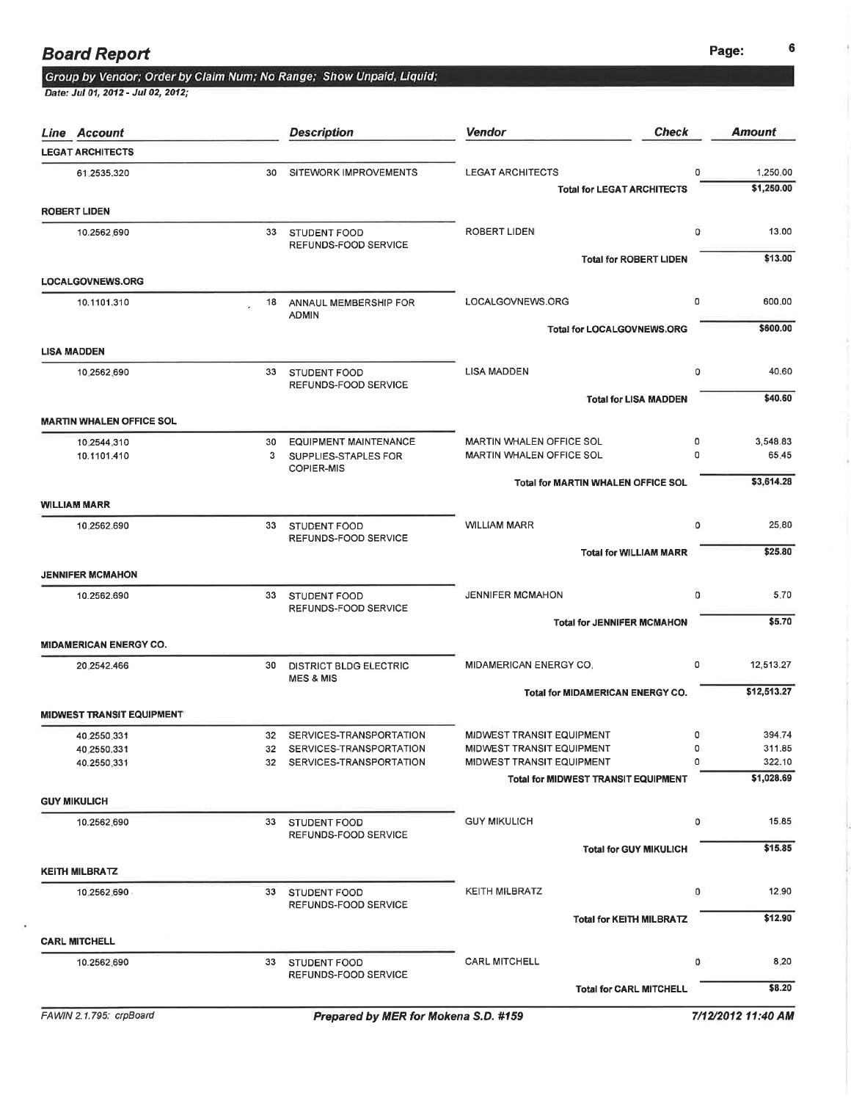¥

### **Board Report** 6 and 200 and 200 and 200 and 200 and 200 and 200 and 200 and 200 and 200 and 200 and 200 and 200 and 200 and 200 and 200 and 200 and 200 and 200 and 200 and 200 and 200 and 200 and 200 and 200 and 200 and 2

# Group by Vendor; Order by Claim Num; No Range; Show Unpaid, Liquid;<br>Date: Jul 01, 2012 - Jul 02, 2012;

| <b>Line Account</b>              |    | <b>Description</b>                                       | <b>Vendor</b><br><b>Check</b>                                 |        | <b>Amount</b>          |
|----------------------------------|----|----------------------------------------------------------|---------------------------------------------------------------|--------|------------------------|
| <b>LEGAT ARCHITECTS</b>          |    |                                                          |                                                               |        |                        |
| 61.2535.320                      | 30 | SITEWORK IMPROVEMENTS                                    | <b>LEGAT ARCHITECTS</b><br><b>Total for LEGAT ARCHITECTS</b>  | 0      | 1,250.00<br>\$1,250.00 |
| <b>ROBERT LIDEN</b>              |    |                                                          |                                                               |        |                        |
| 10.2562,690                      | 33 | STUDENT FOOD<br>REFUNDS-FOOD SERVICE                     | <b>ROBERT LIDEN</b>                                           | o      | 13.00                  |
|                                  |    |                                                          | <b>Total for ROBERT LIDEN</b>                                 |        | \$13.00                |
| <b>LOCALGOVNEWS.ORG</b>          |    |                                                          |                                                               |        |                        |
| 10.1101.310                      | 18 | ANNAUL MEMBERSHIP FOR<br><b>ADMIN</b>                    | LOCALGOVNEWS.ORG                                              | 0      | 600.00                 |
|                                  |    |                                                          | <b>Total for LOCALGOVNEWS.ORG</b>                             |        | \$600.00               |
| <b>LISA MADDEN</b>               |    |                                                          |                                                               |        |                        |
| 10.2562.690                      | 33 | STUDENT FOOD<br>REFUNDS-FOOD SERVICE                     | LISA MADDEN                                                   | 0      | 40.60                  |
| <b>MARTIN WHALEN OFFICE SOL</b>  |    |                                                          | <b>Total for LISA MADDEN</b>                                  |        | \$40.60                |
| 10,2544,310                      | 30 | <b>EQUIPMENT MAINTENANCE</b>                             | <b>MARTIN WHALEN OFFICE SOL</b>                               | 0      | 3,548.83               |
| 10.1101.410                      | 3  | SUPPLIES-STAPLES FOR<br><b>COPIER-MIS</b>                | MARTIN WHALEN OFFICE SOL                                      | 0      | 65,45                  |
|                                  |    |                                                          | <b>Total for MARTIN WHALEN OFFICE SOL</b>                     |        | \$3,614.28             |
| <b>WILLIAM MARR</b>              |    |                                                          |                                                               |        |                        |
| 10,2562.690                      | 33 | STUDENT FOOD<br>REFUNDS-FOOD SERVICE                     | <b>WILLIAM MARR</b>                                           | o      | 25.80                  |
|                                  |    |                                                          | <b>Total for WILLIAM MARR</b>                                 |        | \$25.80                |
| <b>JENNIFER MCMAHON</b>          |    |                                                          |                                                               |        |                        |
| 10.2562.690                      |    | 33 STUDENT FOOD<br>REFUNDS-FOOD SERVICE                  | <b>JENNIFER MCMAHON</b>                                       | 0      | 5.70                   |
| <b>MIDAMERICAN ENERGY CO.</b>    |    |                                                          | <b>Total for JENNIFER MCMAHON</b>                             |        | \$5.70                 |
| 20.2542.466                      | 30 | <b>DISTRICT BLDG ELECTRIC</b>                            | MIDAMERICAN ENERGY CO.                                        | 0      | 12,513.27              |
|                                  |    | <b>MES &amp; MIS</b>                                     |                                                               |        |                        |
|                                  |    |                                                          | Total for MIDAMERICAN ENERGY CO.                              |        | \$12,513.27            |
| <b>MIDWEST TRANSIT EQUIPMENT</b> |    |                                                          |                                                               |        |                        |
| 40.2550.331<br>40 2550 331       |    | 32 SERVICES-TRANSPORTATION<br>32 SERVICES-TRANSPORTATION | <b>MIDWEST TRANSIT EQUIPMENT</b><br>MIDWEST TRANSIT EQUIPMENT | 0<br>0 | 394.74<br>311.85       |
| 40.2550.331                      | 32 | SERVICES-TRANSPORTATION                                  | MIDWEST TRANSIT EQUIPMENT                                     | 0      | 322.10                 |
|                                  |    |                                                          | <b>Total for MIDWEST TRANSIT EQUIPMENT</b>                    |        | \$1,028.69             |
| <b>GUY MIKULICH</b>              |    |                                                          |                                                               |        |                        |
| 10.2562.690                      |    | 33 STUDENT FOOD<br>REFUNDS-FOOD SERVICE                  | <b>GUY MIKULICH</b>                                           | 0      | 15.85                  |
|                                  |    |                                                          | <b>Total for GUY MIKULICH</b>                                 |        | \$15.85                |
| <b>KEITH MILBRATZ</b>            |    |                                                          |                                                               |        |                        |
| 10,2562,690                      | 33 | <b>STUDENT FOOD</b><br>REFUNDS-FOOD SERVICE              | <b>KEITH MILBRATZ</b>                                         | 0      | 12.90                  |
|                                  |    |                                                          | <b>Total for KEITH MILBRATZ</b>                               |        | \$12.90                |
| <b>CARL MITCHELL</b>             |    |                                                          |                                                               |        |                        |
| 10.2562.690                      |    | 33 STUDENT FOOD<br>REFUNDS-FOOD SERVICE                  | <b>CARL MITCHELL</b>                                          | o      | 8.20                   |
|                                  |    |                                                          | <b>Total for CARL MITCHELL</b>                                |        | \$8.20                 |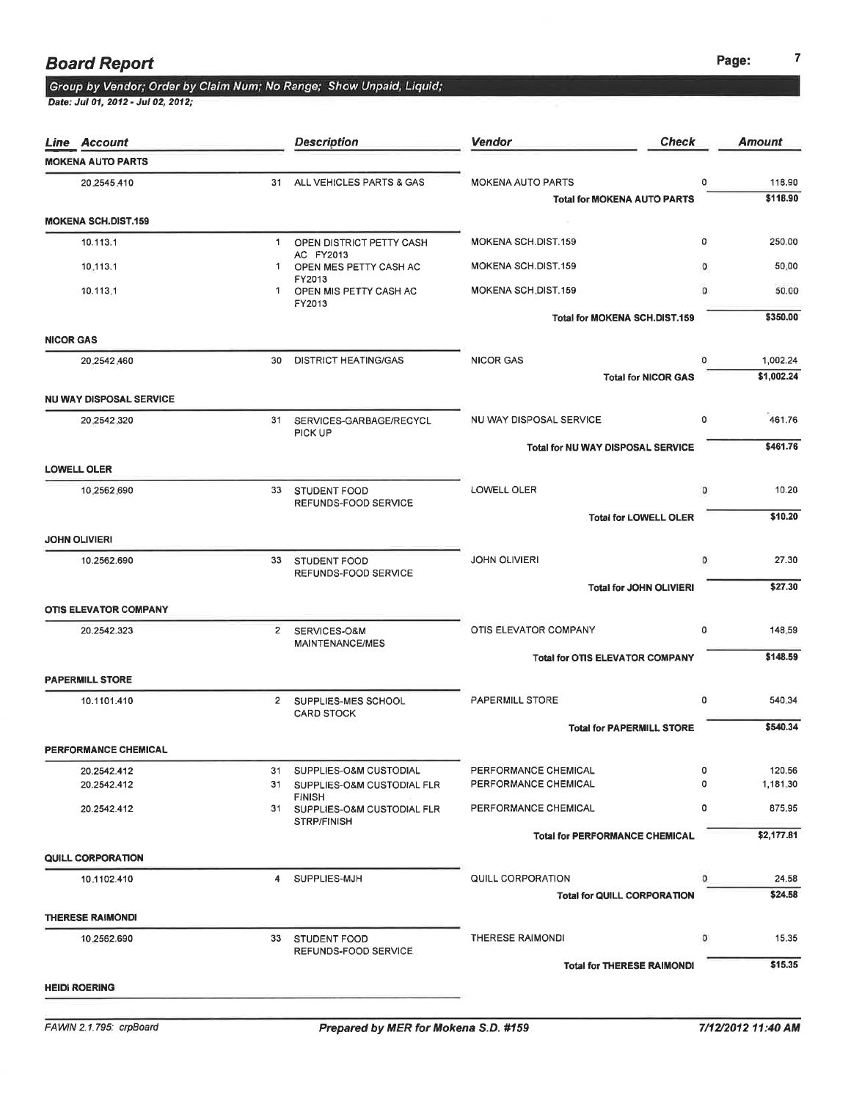|                  | <b>Line Account</b>            |    | <b>Description</b>                                                   | Vendor<br><b>Check</b>                 |          | <b>Amount</b> |
|------------------|--------------------------------|----|----------------------------------------------------------------------|----------------------------------------|----------|---------------|
|                  | <b>MOKENA AUTO PARTS</b>       |    |                                                                      |                                        |          |               |
|                  | 20.2545.410                    | 31 | ALL VEHICLES PARTS & GAS                                             | <b>MOKENA AUTO PARTS</b>               | 0        | 118.90        |
|                  |                                |    |                                                                      | <b>Total for MOKENA AUTO PARTS</b>     |          | \$118.90      |
|                  | <b>MOKENA SCH.DIST.159</b>     |    |                                                                      |                                        |          |               |
|                  | 10.113.1                       | 1  | OPEN DISTRICT PETTY CASH<br>AC FY2013                                | MOKENA SCH.DIST.159                    | $\circ$  | 250.00        |
|                  | 10.113.1                       | 1  | OPEN MES PETTY CASH AC                                               | MOKENA SCH.DIST.159                    | 0        | 50.00         |
|                  | 10.113.1                       | 1. | FY2013<br>OPEN MIS PETTY CASH AC<br>FY2013                           | MOKENA SCH.DIST.159                    | $\Omega$ | 50.00         |
|                  |                                |    |                                                                      | <b>Total for MOKENA SCH.DIST.159</b>   |          | \$350.00      |
| <b>NICOR GAS</b> |                                |    |                                                                      |                                        |          |               |
|                  | 20.2542.460                    | 30 | <b>DISTRICT HEATING/GAS</b>                                          | <b>NICOR GAS</b>                       | 0        | 1,002.24      |
|                  |                                |    |                                                                      | <b>Total for NICOR GAS</b>             |          | \$1,002.24    |
|                  | <b>NU WAY DISPOSAL SERVICE</b> |    |                                                                      |                                        |          |               |
|                  | 20,2542,320                    | 31 | SERVICES-GARBAGE/RECYCL<br>PICK UP                                   | NU WAY DISPOSAL SERVICE                | 0        | 461.76        |
|                  |                                |    |                                                                      | Total for NU WAY DISPOSAL SERVICE      |          | \$461.76      |
|                  | <b>LOWELL OLER</b>             |    |                                                                      |                                        |          |               |
|                  | 10,2562,690                    |    | 33 STUDENT FOOD<br>REFUNDS-FOOD SERVICE                              | LOWELL OLER                            | о        | 10.20         |
|                  |                                |    |                                                                      | <b>Total for LOWELL OLER</b>           |          | \$10.20       |
|                  | <b>JOHN OLIVIERI</b>           |    |                                                                      |                                        |          |               |
|                  | 10.2562.690                    |    | 33 STUDENT FOOD<br>REFUNDS-FOOD SERVICE                              | <b>JOHN OLIVIERI</b>                   | $\circ$  | 27.30         |
|                  |                                |    |                                                                      | <b>Total for JOHN OLIVIERI</b>         |          | \$27.30       |
|                  | <b>OTIS ELEVATOR COMPANY</b>   |    |                                                                      |                                        |          |               |
|                  | 20.2542.323                    |    | 2 SERVICES-O&M                                                       | OTIS ELEVATOR COMPANY                  | 0        | 148.59        |
|                  |                                |    | MAINTENANCE/MES                                                      | <b>Total for OTIS ELEVATOR COMPANY</b> |          | \$148.59      |
|                  | <b>PAPERMILL STORE</b>         |    |                                                                      |                                        |          |               |
|                  | 10.1101.410                    |    | 2 SUPPLIES-MES SCHOOL                                                | <b>PAPERMILL STORE</b>                 | 0        | 540.34        |
|                  |                                |    | <b>CARD STOCK</b>                                                    | <b>Total for PAPERMILL STORE</b>       |          | \$540.34      |
|                  | PERFORMANCE CHEMICAL           |    |                                                                      |                                        |          |               |
|                  | 20.2542.412                    | 31 | SUPPLIES-O&M CUSTODIAL                                               | PERFORMANCE CHEMICAL                   | 0        | 120.56        |
|                  | 20.2542.412                    |    | 31 SUPPLIES-O&M CUSTODIAL FLR                                        | PERFORMANCE CHEMICAL                   | o        | 1,181.30      |
|                  | 20.2542.412                    |    | <b>FINISH</b><br>31 SUPPLIES-O&M CUSTODIAL FLR<br><b>STRP/FINISH</b> | PERFORMANCE CHEMICAL                   | 0        | 875.95        |
|                  |                                |    |                                                                      | <b>Total for PERFORMANCE CHEMICAL</b>  |          | \$2,177.81    |
|                  | QUILL CORPORATION              |    |                                                                      |                                        |          |               |
|                  | 10.1102.410                    | 4  | SUPPLIES-MJH                                                         | QUILL CORPORATION                      | o        | 24.58         |
|                  |                                |    |                                                                      | <b>Total for QUILL CORPORATION</b>     |          | \$24.58       |
|                  | <b>THERESE RAIMONDI</b>        |    |                                                                      |                                        |          |               |
|                  | 10.2562.690                    | 33 | <b>STUDENT FOOD</b><br>REFUNDS-FOOD SERVICE                          | <b>THERESE RAIMONDI</b>                | o        | 15.35         |
|                  |                                |    |                                                                      | <b>Total for THERESE RAIMONDI</b>      |          | \$15.35       |
|                  | <b>HEIDI ROERING</b>           |    |                                                                      |                                        |          |               |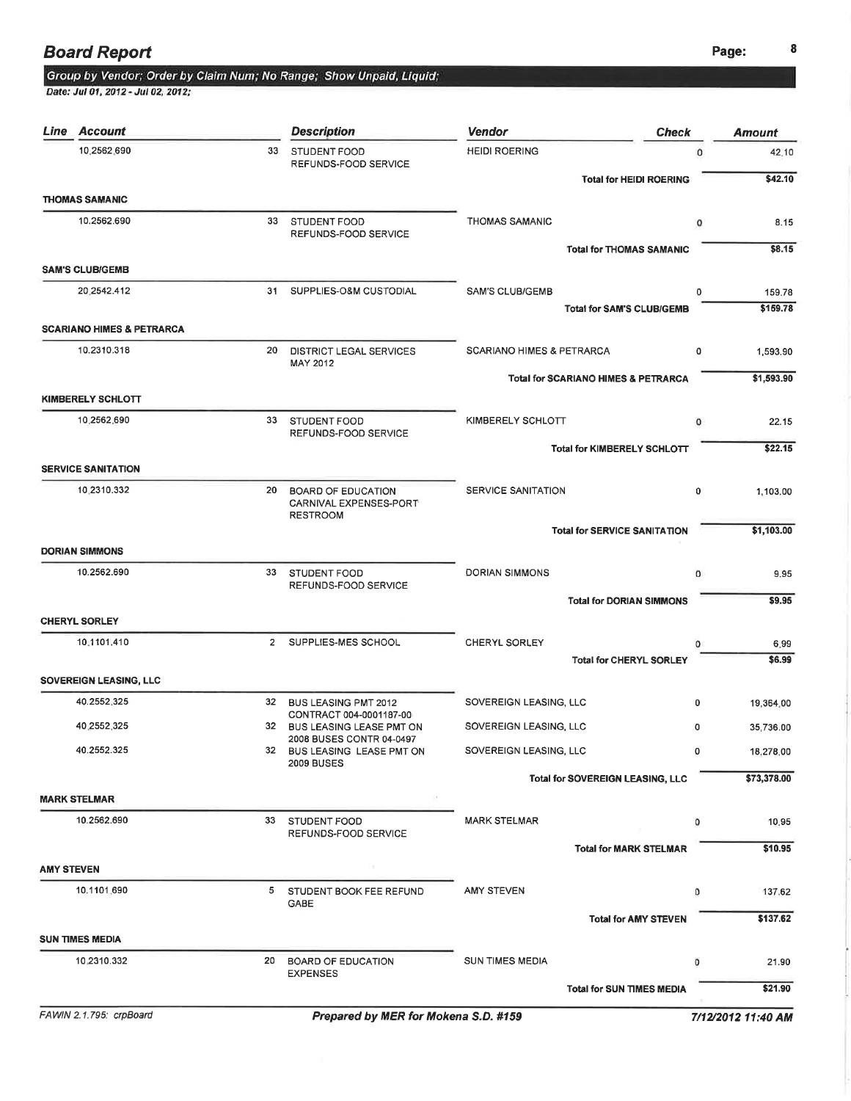#### Group by Vendor; Order by Claim Num; No Range; Show Unpaid, Liquid;

Date: Jul 01, 2012 - Jul 02, 2012;

| Line<br><b>Account</b>               |                | <b>Description</b>                                                     | Vendor                                         | <b>Check</b>                        | <b>Amount</b> |
|--------------------------------------|----------------|------------------------------------------------------------------------|------------------------------------------------|-------------------------------------|---------------|
| 10.2562.690                          | 33             | STUDENT FOOD<br>REFUNDS-FOOD SERVICE                                   | <b>HEIDI ROERING</b>                           | $\Omega$                            | 42.10         |
|                                      |                |                                                                        |                                                | <b>Total for HEIDI ROERING</b>      | \$42.10       |
| <b>THOMAS SAMANIC</b><br>10.2562.690 | 33             | <b>STUDENT FOOD</b>                                                    | <b>THOMAS SAMANIC</b>                          | o                                   | 8.15          |
|                                      |                | REFUNDS-FOOD SERVICE                                                   |                                                | <b>Total for THOMAS SAMANIC</b>     | \$8.15        |
| <b>SAM'S CLUB/GEMB</b>               |                |                                                                        |                                                |                                     |               |
| 20 2542.412                          | 31             | SUPPLIES-O&M CUSTODIAL                                                 | <b>SAM'S CLUB/GEMB</b>                         | 0                                   | 159.78        |
| <b>SCARIANO HIMES &amp; PETRARCA</b> |                |                                                                        |                                                | <b>Total for SAM'S CLUB/GEMB</b>    | \$159.78      |
| 10.2310.318                          | 20             | DISTRICT LEGAL SERVICES                                                | <b>SCARIANO HIMES &amp; PETRARCA</b>           | 0                                   | 1,593.90      |
|                                      |                | MAY 2012                                                               | <b>Total for SCARIANO HIMES &amp; PETRARCA</b> |                                     | \$1,593.90    |
| <b>KIMBERELY SCHLOTT</b>             |                |                                                                        |                                                |                                     |               |
| 10.2562.690                          | 33             | STUDENT FOOD<br>REFUNDS-FOOD SERVICE                                   | KIMBERELY SCHLOTT                              | $\circ$                             | 22.15         |
|                                      |                |                                                                        |                                                | <b>Total for KIMBERELY SCHLOTT</b>  | \$22.15       |
| <b>SERVICE SANITATION</b>            |                |                                                                        |                                                |                                     |               |
| 10.2310.332                          | 20             | <b>BOARD OF EDUCATION</b><br>CARNIVAL EXPENSES-PORT<br><b>RESTROOM</b> | SERVICE SANITATION                             | 0                                   | 1,103.00      |
|                                      |                |                                                                        |                                                | <b>Total for SERVICE SANITATION</b> | \$1,103.00    |
| <b>DORIAN SIMMONS</b>                |                |                                                                        |                                                |                                     |               |
| 10.2562.690                          | 33             | <b>STUDENT FOOD</b><br>REFUNDS-FOOD SERVICE                            | <b>DORIAN SIMMONS</b>                          | 0                                   | 9.95          |
| <b>CHERYL SORLEY</b>                 |                |                                                                        |                                                | <b>Total for DORIAN SIMMONS</b>     | \$9.95        |
| 10:1101.410                          | $\overline{2}$ | SUPPLIES-MES SCHOOL                                                    | <b>CHERYL SORLEY</b>                           | 0                                   | 6.99          |
|                                      |                |                                                                        |                                                | <b>Total for CHERYL SORLEY</b>      | \$6.99        |
| SOVEREIGN LEASING, LLC               |                |                                                                        |                                                |                                     |               |
| 40.2552.325                          | 32             | <b>BUS LEASING PMT 2012</b><br>CONTRACT 004-0001187-00                 | SOVEREIGN LEASING, LLC                         | 0                                   | 19,364.00     |
| 40.2552.325                          |                | 32 BUS LEASING LEASE PMT ON<br>2008 BUSES CONTR 04-0497                | SOVEREIGN LEASING, LLC                         | 0                                   | 35,736.00     |
| 40.2552.325                          |                | 32 BUS LEASING LEASE PMT ON<br><b>2009 BUSES</b>                       | SOVEREIGN LEASING, LLC                         | 0                                   | 18,278.00     |
|                                      |                |                                                                        |                                                | Total for SOVEREIGN LEASING, LLC    | \$73,378.00   |
| <b>MARK STELMAR</b>                  |                |                                                                        |                                                |                                     |               |
| 10.2562.690                          | 33             | STUDENT FOOD<br>REFUNDS-FOOD SERVICE                                   | <b>MARK STELMAR</b>                            | o                                   | 10.95         |
|                                      |                |                                                                        |                                                | <b>Total for MARK STELMAR</b>       | \$10.95       |
| <b>AMY STEVEN</b><br>10.1101.690     |                | 5 STUDENT BOOK FEE REFUND                                              | <b>AMY STEVEN</b>                              | o                                   | 137.62        |
|                                      |                | GABE                                                                   |                                                | <b>Total for AMY STEVEN</b>         | \$137.62      |
| <b>SUN TIMES MEDIA</b>               |                |                                                                        |                                                |                                     |               |
| 10.2310.332                          |                | 20 BOARD OF EDUCATION                                                  | <b>SUN TIMES MEDIA</b>                         | o                                   | 21.90         |
|                                      |                | <b>EXPENSES</b>                                                        |                                                | <b>Total for SUN TIMES MEDIA</b>    | \$21.90       |
|                                      |                |                                                                        |                                                |                                     |               |

FAWIN 2.1.795: crpBoard **Prepared by MER for Mokena S.D. #159** 7/12/2012 11:40 AM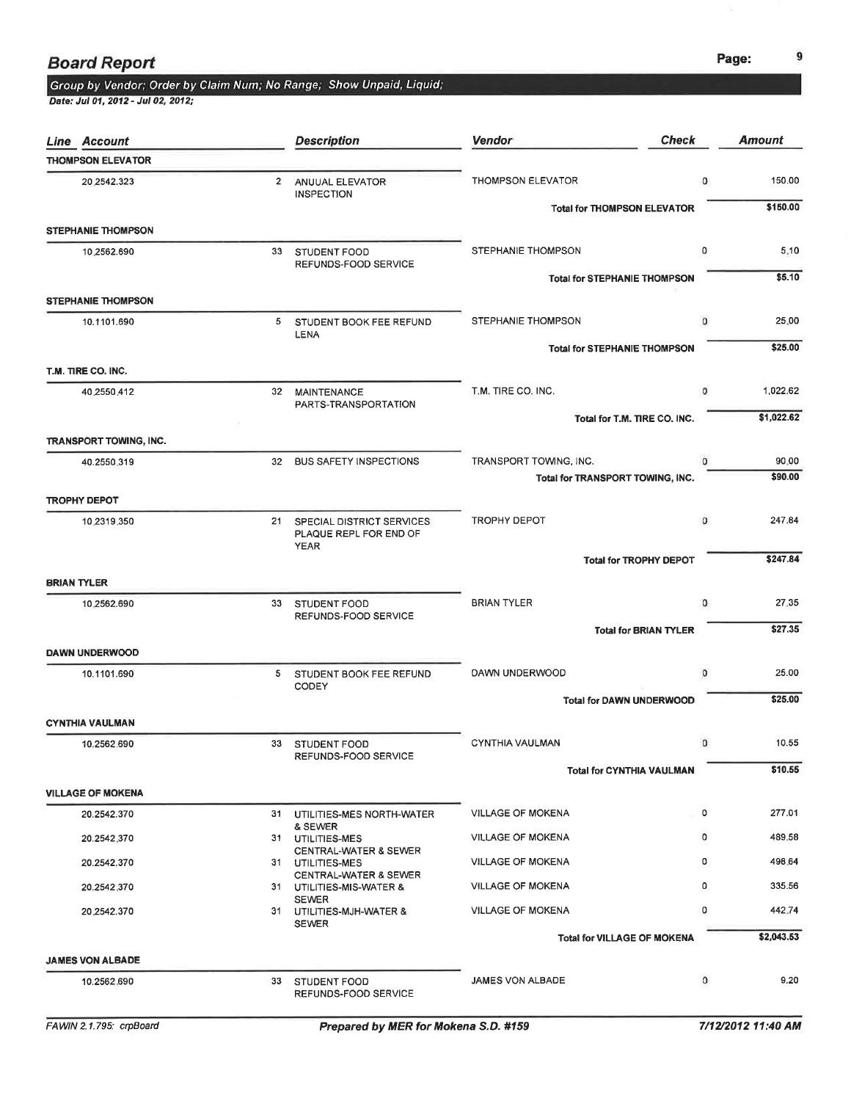Date: Jul 01, 2012 - Jul 02, 2012;

| <b>Line Account</b>           |                 | <b>Description</b>                                                    | <b>Vendor</b>                                              | <b>Check</b>                        |              | <b>Amount</b>    |
|-------------------------------|-----------------|-----------------------------------------------------------------------|------------------------------------------------------------|-------------------------------------|--------------|------------------|
| <b>THOMPSON ELEVATOR</b>      |                 |                                                                       |                                                            |                                     |              |                  |
| 20,2542.323                   | $\mathbf{2}$    | ANUUAL ELEVATOR<br><b>INSPECTION</b>                                  | THOMPSON ELEVATOR                                          |                                     | 0            | 150.00           |
| <b>STEPHANIE THOMPSON</b>     |                 |                                                                       |                                                            | <b>Total for THOMPSON ELEVATOR</b>  |              | \$150.00         |
| 10.2562.690                   | 33              | STUDENT FOOD                                                          | STEPHANIE THOMPSON                                         |                                     | 0            | 5.10             |
|                               |                 | REFUNDS-FOOD SERVICE                                                  |                                                            | <b>Total for STEPHANIE THOMPSON</b> |              | \$5.10           |
| <b>STEPHANIE THOMPSON</b>     |                 |                                                                       |                                                            |                                     |              |                  |
| 10.1101.690                   | 5               | STUDENT BOOK FEE REFUND<br>LENA                                       | <b>STEPHANIE THOMPSON</b>                                  |                                     | $\mathbf{0}$ | 25.00            |
|                               |                 |                                                                       |                                                            | <b>Total for STEPHANIE THOMPSON</b> |              | \$25.00          |
| T.M. TIRE CO. INC.            |                 |                                                                       |                                                            |                                     |              |                  |
| 40.2550.412                   | 32 <sub>2</sub> | MAINTENANCE<br>PARTS-TRANSPORTATION                                   | T.M. TIRE CO. INC.                                         |                                     | $\circ$      | 1,022.62         |
|                               |                 |                                                                       |                                                            | Total for T.M. TIRE CO. INC.        |              | \$1,022.62       |
| <b>TRANSPORT TOWING, INC.</b> |                 |                                                                       |                                                            |                                     |              |                  |
| 40.2550.319                   | 32 <sup>2</sup> | <b>BUS SAFETY INSPECTIONS</b>                                         | TRANSPORT TOWING, INC.<br>Total for TRANSPORT TOWING, INC. |                                     | $\Omega$     | 90.00<br>\$90.00 |
| <b>TROPHY DEPOT</b>           |                 |                                                                       |                                                            |                                     |              |                  |
| 10.2319.350                   |                 | 21 SPECIAL DISTRICT SERVICES<br>PLAQUE REPL FOR END OF<br><b>YEAR</b> | <b>TROPHY DEPOT</b>                                        |                                     | $\circ$      | 247.84           |
|                               |                 |                                                                       |                                                            | <b>Total for TROPHY DEPOT</b>       |              | \$247.84         |
| <b>BRIAN TYLER</b>            |                 |                                                                       |                                                            |                                     |              |                  |
| 10.2562.690                   |                 | 33 STUDENT FOOD<br>REFUNDS-FOOD SERVICE                               | <b>BRIAN TYLER</b>                                         |                                     | 0            | 27.35            |
|                               |                 |                                                                       |                                                            | <b>Total for BRIAN TYLER</b>        |              | \$27.35          |
| <b>DAWN UNDERWOOD</b>         |                 |                                                                       |                                                            |                                     |              |                  |
| 10.1101.690                   | $5 -$           | STUDENT BOOK FEE REFUND<br>CODEY                                      | DAWN UNDERWOOD                                             |                                     | $\circ$      | 25.00            |
|                               |                 |                                                                       |                                                            | <b>Total for DAWN UNDERWOOD</b>     |              | \$25.00          |
| <b>CYNTHIA VAULMAN</b>        |                 |                                                                       |                                                            |                                     |              |                  |
| 10.2562.690                   | 33              | <b>STUDENT FOOD</b><br>REFUNDS-FOOD SERVICE                           | <b>CYNTHIA VAULMAN</b>                                     |                                     | $\circ$      | 10.55            |
|                               |                 |                                                                       |                                                            | <b>Total for CYNTHIA VAULMAN</b>    |              | \$10.55          |
| <b>VILLAGE OF MOKENA</b>      |                 |                                                                       |                                                            |                                     |              |                  |
| 20.2542.370                   |                 | 31 UTILITIES-MES NORTH-WATER                                          | <b>VILLAGE OF MOKENA</b>                                   |                                     | 0            | 277.01           |
| 20.2542.370                   |                 | & SEWER<br>31 UTILITIES-MES                                           | <b>VILLAGE OF MOKENA</b>                                   |                                     | 0            | 489.58           |
| 20.2542.370                   |                 | <b>CENTRAL-WATER &amp; SEWER</b><br>31 UTILITIES-MES                  | <b>VILLAGE OF MOKENA</b>                                   |                                     | 0            | 498.64           |
| 20.2542.370                   |                 | <b>CENTRAL-WATER &amp; SEWER</b><br>31 UTILITIES-MIS-WATER &          | <b>VILLAGE OF MOKENA</b>                                   |                                     | 0            | 335.56           |
| 20.2542.370                   |                 | <b>SEWER</b><br>31 UTILITIES-MJH-WATER &<br><b>SEWER</b>              | <b>VILLAGE OF MOKENA</b>                                   |                                     | 0            | 442.74           |
|                               |                 |                                                                       |                                                            | <b>Total for VILLAGE OF MOKENA</b>  |              | \$2,043.53       |
| <b>JAMES VON ALBADE</b>       |                 |                                                                       |                                                            |                                     |              |                  |
| 10.2562.690                   | 33              | <b>STUDENT FOOD</b><br>REFUNDS-FOOD SERVICE                           | <b>JAMES VON ALBADE</b>                                    |                                     | $\circ$      | 9.20             |

9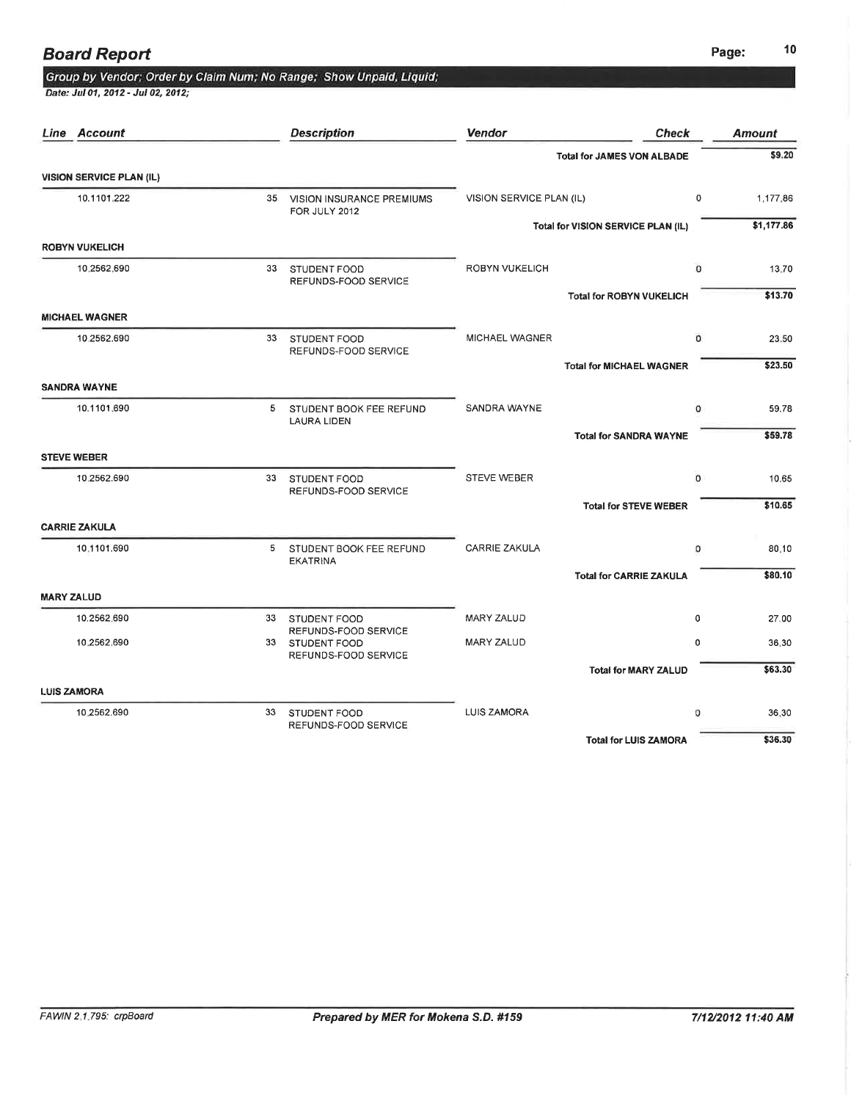### **Board Report**

## Group by Vendor; Order by Claim Num; No Range; Show Unpaid, Liquid;

Date: Jul 01, 2012 - Jul 02, 2012;

| Line Account                    |    | <b>Description</b>                                              | <b>Vendor</b>            | <b>Check</b>                       | <b>Amount</b> |
|---------------------------------|----|-----------------------------------------------------------------|--------------------------|------------------------------------|---------------|
|                                 |    |                                                                 |                          | <b>Total for JAMES VON ALBADE</b>  | \$9.20        |
| <b>VISION SERVICE PLAN (IL)</b> |    |                                                                 |                          |                                    |               |
| 10.1101.222                     |    | 35 VISION INSURANCE PREMIUMS<br>FOR JULY 2012                   | VISION SERVICE PLAN (IL) | 0                                  | 1,177,86      |
|                                 |    |                                                                 |                          | Total for VISION SERVICE PLAN (IL) | \$1,177.86    |
| <b>ROBYN VUKELICH</b>           |    |                                                                 |                          |                                    |               |
| 10.2562,690                     | 33 | STUDENT FOOD<br>REFUNDS-FOOD SERVICE                            | <b>ROBYN VUKELICH</b>    | $\circ$                            | 13.70         |
|                                 |    |                                                                 |                          | <b>Total for ROBYN VUKELICH</b>    | \$13.70       |
| <b>MICHAEL WAGNER</b>           |    |                                                                 |                          |                                    |               |
| 10 2562.690                     |    | 33 STUDENT FOOD                                                 | <b>MICHAEL WAGNER</b>    | 0                                  | 23.50         |
|                                 |    | REFUNDS-FOOD SERVICE                                            |                          | <b>Total for MICHAEL WAGNER</b>    | \$23.50       |
| <b>SANDRA WAYNE</b>             |    |                                                                 |                          |                                    |               |
| 10.1101.690                     | 5  | STUDENT BOOK FEE REFUND<br><b>LAURA LIDEN</b>                   | SANDRA WAYNE             | 0                                  | 59.78         |
|                                 |    |                                                                 |                          | <b>Total for SANDRA WAYNE</b>      | \$59.78       |
| <b>STEVE WEBER</b>              |    |                                                                 |                          |                                    |               |
| 10.2562.690                     | 33 | STUDENT FOOD<br>REFUNDS-FOOD SERVICE                            | <b>STEVE WEBER</b>       | $\overline{0}$                     | 10.65         |
|                                 |    |                                                                 |                          | <b>Total for STEVE WEBER</b>       | \$10.65       |
| <b>CARRIE ZAKULA</b>            |    |                                                                 |                          |                                    |               |
| 10.1101.690                     | 5  | STUDENT BOOK FEE REFUND<br><b>EKATRINA</b>                      | <b>CARRIE ZAKULA</b>     | 0                                  | 80.10         |
|                                 |    |                                                                 |                          | <b>Total for CARRIE ZAKULA</b>     | \$80.10       |
| <b>MARY ZALUD</b>               |    |                                                                 |                          |                                    |               |
| 10,2562,690                     | 33 | STUDENT FOOD                                                    | MARY ZALUD               | 0                                  | 27.00         |
| 10.2562.690                     |    | REFUNDS-FOOD SERVICE<br>33 STUDENT FOOD<br>REFUNDS-FOOD SERVICE | <b>MARY ZALUD</b>        | 0                                  | 36.30         |
|                                 |    |                                                                 |                          | <b>Total for MARY ZALUD</b>        | \$63.30       |
| <b>LUIS ZAMORA</b>              |    |                                                                 |                          |                                    |               |
| 10.2562.690                     | 33 | STUDENT FOOD<br>REFUNDS-FOOD SERVICE                            | <b>LUIS ZAMORA</b>       | o                                  | 36.30         |
|                                 |    |                                                                 |                          | <b>Total for LUIS ZAMORA</b>       | \$36.30       |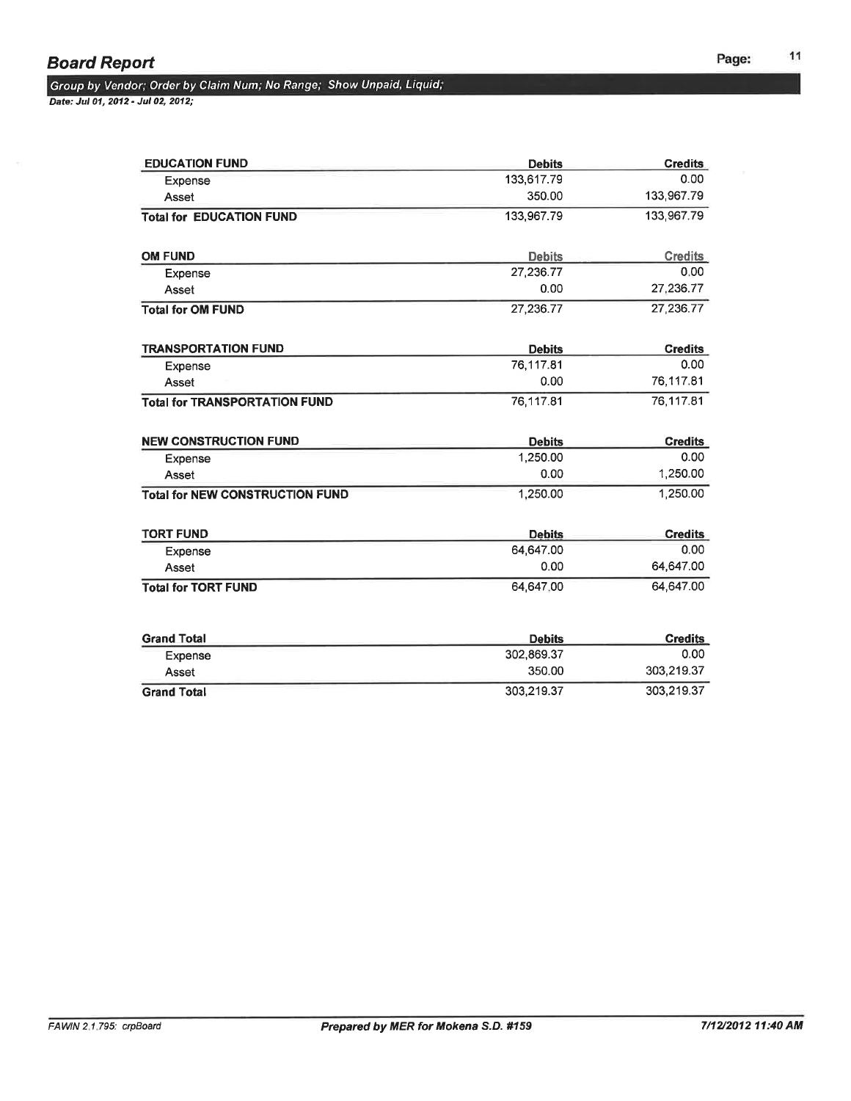Date: Jul 07,2012 - Jut 02, 2012;

| <b>EDUCATION FUND</b>                  | <b>Debits</b> | <b>Credits</b> |
|----------------------------------------|---------------|----------------|
| Expense                                | 133,617.79    | 0.00           |
| Asset                                  | 350.00        | 133,967.79     |
| <b>Total for EDUCATION FUND</b>        | 133,967.79    | 133,967.79     |
| <b>OM FUND</b>                         | <b>Debits</b> | <b>Credits</b> |
| Expense                                | 27,236.77     | 0.00           |
| Asset                                  | 0.00          | 27,236.77      |
| <b>Total for OM FUND</b>               | 27,236.77     | 27,236.77      |
| <b>TRANSPORTATION FUND</b>             | <b>Debits</b> | <b>Credits</b> |
| Expense                                | 76,117.81     | 0.00           |
| Asset                                  | 0.00          | 76,117.81      |
| <b>Total for TRANSPORTATION FUND</b>   | 76,117.81     | 76,117.81      |
| <b>NEW CONSTRUCTION FUND</b>           | <b>Debits</b> | <b>Credits</b> |
| Expense                                | 1,250.00      | 0.00           |
| Asset                                  | 0.00          | 1,250.00       |
| <b>Total for NEW CONSTRUCTION FUND</b> | 1,250.00      | 1,250.00       |
| <b>TORT FUND</b>                       | <b>Debits</b> | <b>Credits</b> |
| Expense                                | 64,647.00     | 0.00           |
| Asset                                  | 0.00          | 64,647.00      |
| <b>Total for TORT FUND</b>             | 64.647.00     | 64,647.00      |
| <b>Grand Total</b>                     | <b>Debits</b> | <b>Credits</b> |
| Expense                                | 302,869.37    | 0.00           |
| Asset                                  | 350.00        | 303.219.37     |

Grand Total 303,219.37 303,219.37 303,219.37 303,219.37 303,219.37 303,219.37 303,219.37 303,219.37 303,219.37